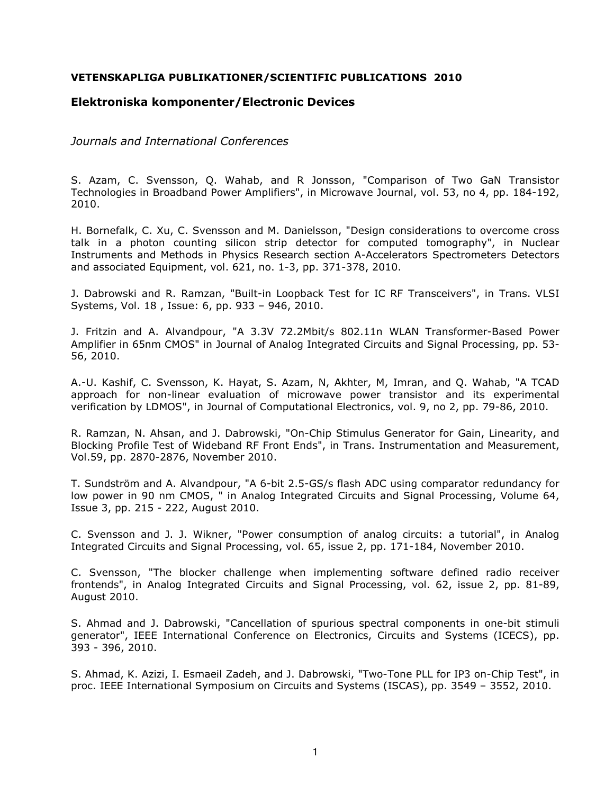## **VETENSKAPLIGA PUBLIKATIONER/SCIENTIFIC PUBLICATIONS 2010**

## **Elektroniska komponenter/Electronic Devices**

*Journals and International Conferences* 

S. Azam, C. Svensson, Q. Wahab, and R Jonsson, "Comparison of Two GaN Transistor Technologies in Broadband Power Amplifiers", in Microwave Journal, vol. 53, no 4, pp. 184-192, 2010.

H. Bornefalk, C. Xu, C. Svensson and M. Danielsson, "Design considerations to overcome cross talk in a photon counting silicon strip detector for computed tomography", in Nuclear Instruments and Methods in Physics Research section A-Accelerators Spectrometers Detectors and associated Equipment, vol. 621, no. 1-3, pp. 371-378, 2010.

J. Dabrowski and R. Ramzan, "Built-in Loopback Test for IC RF Transceivers", in Trans. VLSI Systems, Vol. 18 , Issue: 6, pp. 933 – 946, 2010.

J. Fritzin and A. Alvandpour, "A 3.3V 72.2Mbit/s 802.11n WLAN Transformer-Based Power Amplifier in 65nm CMOS" in Journal of Analog Integrated Circuits and Signal Processing, pp. 53- 56, 2010.

A.-U. Kashif, C. Svensson, K. Hayat, S. Azam, N, Akhter, M, Imran, and Q. Wahab, "A TCAD approach for non-linear evaluation of microwave power transistor and its experimental verification by LDMOS", in Journal of Computational Electronics, vol. 9, no 2, pp. 79-86, 2010.

R. Ramzan, N. Ahsan, and J. Dabrowski, "On-Chip Stimulus Generator for Gain, Linearity, and Blocking Profile Test of Wideband RF Front Ends", in Trans. Instrumentation and Measurement, Vol.59, pp. 2870-2876, November 2010.

T. Sundström and A. Alvandpour, "A 6-bit 2.5-GS/s flash ADC using comparator redundancy for low power in 90 nm CMOS, " in Analog Integrated Circuits and Signal Processing, Volume 64, Issue 3, pp. 215 - 222, August 2010.

C. Svensson and J. J. Wikner, "Power consumption of analog circuits: a tutorial", in Analog Integrated Circuits and Signal Processing, vol. 65, issue 2, pp. 171-184, November 2010.

C. Svensson, "The blocker challenge when implementing software defined radio receiver frontends", in Analog Integrated Circuits and Signal Processing, vol. 62, issue 2, pp. 81-89, August 2010.

S. Ahmad and J. Dabrowski, "Cancellation of spurious spectral components in one-bit stimuli generator", IEEE International Conference on Electronics, Circuits and Systems (ICECS), pp. 393 - 396, 2010.

S. Ahmad, K. Azizi, I. Esmaeil Zadeh, and J. Dabrowski, "Two-Tone PLL for IP3 on-Chip Test", in proc. IEEE International Symposium on Circuits and Systems (ISCAS), pp. 3549 – 3552, 2010.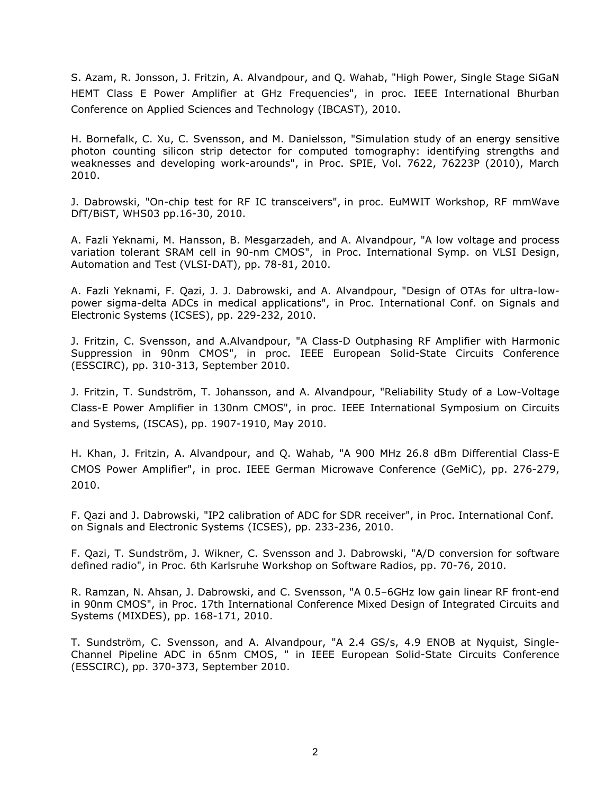S. Azam, R. Jonsson, J. Fritzin, A. Alvandpour, and Q. Wahab, "High Power, Single Stage SiGaN HEMT Class E Power Amplifier at GHz Frequencies", in proc. IEEE International Bhurban Conference on Applied Sciences and Technology (IBCAST), 2010.

H. Bornefalk, C. Xu, C. Svensson, and M. Danielsson, "Simulation study of an energy sensitive photon counting silicon strip detector for computed tomography: identifying strengths and weaknesses and developing work-arounds", in Proc. SPIE, Vol. 7622, 76223P (2010), March 2010.

J. Dabrowski, "On-chip test for RF IC transceivers", in proc. EuMWIT Workshop, RF mmWave DfT/BiST, WHS03 pp.16-30, 2010.

A. Fazli Yeknami, M. Hansson, B. Mesgarzadeh, and A. Alvandpour, "A low voltage and process variation tolerant SRAM cell in 90-nm CMOS", in Proc. International Symp. on VLSI Design, Automation and Test (VLSI-DAT), pp. 78-81, 2010.

A. Fazli Yeknami, F. Qazi, J. J. Dabrowski, and A. Alvandpour, "Design of OTAs for ultra-lowpower sigma-delta ADCs in medical applications", in Proc. International Conf. on Signals and Electronic Systems (ICSES), pp. 229-232, 2010.

J. Fritzin, C. Svensson, and A.Alvandpour, "A Class-D Outphasing RF Amplifier with Harmonic Suppression in 90nm CMOS", in proc. IEEE European Solid-State Circuits Conference (ESSCIRC), pp. 310-313, September 2010.

J. Fritzin, T. Sundström, T. Johansson, and A. Alvandpour, "Reliability Study of a Low-Voltage Class-E Power Amplifier in 130nm CMOS", in proc. IEEE International Symposium on Circuits and Systems, (ISCAS), pp. 1907-1910, May 2010.

H. Khan, J. Fritzin, A. Alvandpour, and Q. Wahab, "A 900 MHz 26.8 dBm Differential Class-E CMOS Power Amplifier", in proc. IEEE German Microwave Conference (GeMiC), pp. 276-279, 2010.

F. Qazi and J. Dabrowski, "IP2 calibration of ADC for SDR receiver", in Proc. International Conf. on Signals and Electronic Systems (ICSES), pp. 233-236, 2010.

F. Qazi, T. Sundström, J. Wikner, C. Svensson and J. Dabrowski, "A/D conversion for software defined radio", in Proc. 6th Karlsruhe Workshop on Software Radios, pp. 70-76, 2010.

R. Ramzan, N. Ahsan, J. Dabrowski, and C. Svensson, "A 0.5–6GHz low gain linear RF front-end in 90nm CMOS", in Proc. 17th International Conference Mixed Design of Integrated Circuits and Systems (MIXDES), pp. 168-171, 2010.

T. Sundström, C. Svensson, and A. Alvandpour, "A 2.4 GS/s, 4.9 ENOB at Nyquist, Single-Channel Pipeline ADC in 65nm CMOS, " in IEEE European Solid-State Circuits Conference (ESSCIRC), pp. 370-373, September 2010.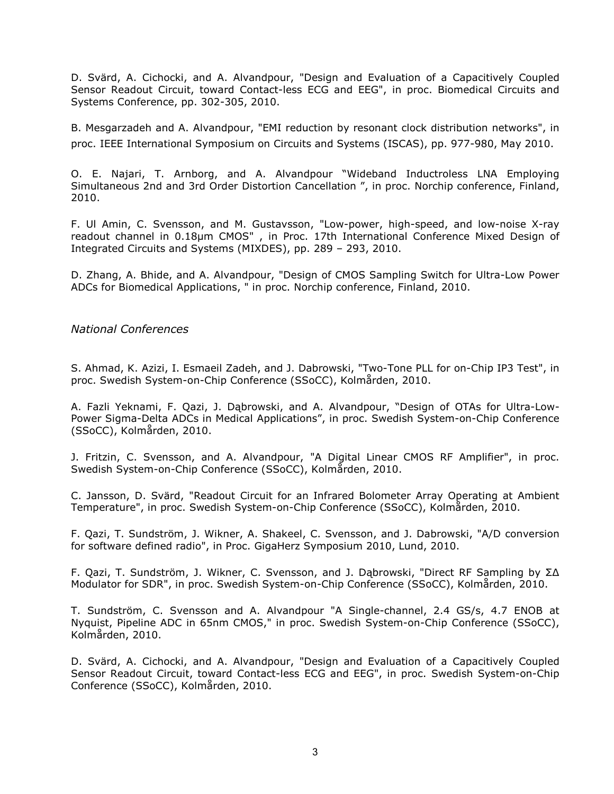D. Svärd, A. Cichocki, and A. Alvandpour, "Design and Evaluation of a Capacitively Coupled Sensor Readout Circuit, toward Contact-less ECG and EEG", in proc. Biomedical Circuits and Systems Conference, pp. 302-305, 2010.

B. Mesgarzadeh and A. Alvandpour, "EMI reduction by resonant clock distribution networks", in proc. IEEE International Symposium on Circuits and Systems (ISCAS), pp. 977-980, May 2010.

O. E. Najari, T. Arnborg, and A. Alvandpour "Wideband Inductroless LNA Employing Simultaneous 2nd and 3rd Order Distortion Cancellation ", in proc. Norchip conference, Finland, 2010.

F. Ul Amin, C. Svensson, and M. Gustavsson, "Low-power, high-speed, and low-noise X-ray readout channel in 0.18µm CMOS" , in Proc. 17th International Conference Mixed Design of Integrated Circuits and Systems (MIXDES), pp. 289 – 293, 2010.

D. Zhang, A. Bhide, and A. Alvandpour, "Design of CMOS Sampling Switch for Ultra-Low Power ADCs for Biomedical Applications, " in proc. Norchip conference, Finland, 2010.

## *National Conferences*

S. Ahmad, K. Azizi, I. Esmaeil Zadeh, and J. Dabrowski, "Two-Tone PLL for on-Chip IP3 Test", in proc. Swedish System-on-Chip Conference (SSoCC), Kolmården, 2010.

A. Fazli Yeknami, F. Qazi, J. Dąbrowski, and A. Alvandpour, "Design of OTAs for Ultra-Low-Power Sigma-Delta ADCs in Medical Applications", in proc. Swedish System-on-Chip Conference (SSoCC), Kolmården, 2010.

J. Fritzin, C. Svensson, and A. Alvandpour, "A Digital Linear CMOS RF Amplifier", in proc. Swedish System-on-Chip Conference (SSoCC), Kolmården, 2010.

C. Jansson, D. Svärd, "Readout Circuit for an Infrared Bolometer Array Operating at Ambient Temperature", in proc. Swedish System-on-Chip Conference (SSoCC), Kolmården, 2010.

F. Qazi, T. Sundström, J. Wikner, A. Shakeel, C. Svensson, and J. Dabrowski, "A/D conversion for software defined radio", in Proc. GigaHerz Symposium 2010, Lund, 2010.

F. Qazi, T. Sundström, J. Wikner, C. Svensson, and J. Dąbrowski, "Direct RF Sampling by Σ∆ Modulator for SDR", in proc. Swedish System-on-Chip Conference (SSoCC), Kolmården, 2010.

T. Sundström, C. Svensson and A. Alvandpour "A Single-channel, 2.4 GS/s, 4.7 ENOB at Nyquist, Pipeline ADC in 65nm CMOS," in proc. Swedish System-on-Chip Conference (SSoCC), Kolmården, 2010.

D. Svärd, A. Cichocki, and A. Alvandpour, "Design and Evaluation of a Capacitively Coupled Sensor Readout Circuit, toward Contact-less ECG and EEG", in proc. Swedish System-on-Chip Conference (SSoCC), Kolmården, 2010.